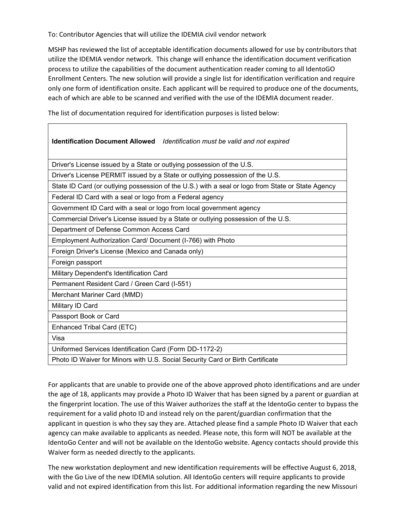To: Contributor Agencies that will utilize the IDEMIA civil vendor network

MSHP has reviewed the list of acceptable identification documents allowed for use by contributors that utilize the IDEMIA vendor network. This change will enhance the identification document verification process to utilize the capabilities of the document authentication reader coming to all IdentoGO Enrollment Centers. The new solution will provide a single list for identification verification and require only one form of identification onsite. Each applicant will be required to produce one of the documents, each of which are able to be scanned and verified with the use of the IDEMIA document reader.

٦

The list of documentation required for identification purposes is listed below:

| Identification Document Allowed Identification must be valid and not expired                      |
|---------------------------------------------------------------------------------------------------|
| Driver's License issued by a State or outlying possession of the U.S.                             |
| Driver's License PERMIT issued by a State or outlying possession of the U.S.                      |
| State ID Card (or outlying possession of the U.S.) with a seal or logo from State or State Agency |
| Federal ID Card with a seal or logo from a Federal agency                                         |
| Government ID Card with a seal or logo from local government agency                               |
| Commercial Driver's License issued by a State or outlying possession of the U.S.                  |
| Department of Defense Common Access Card                                                          |
| Employment Authorization Card/ Document (I-766) with Photo                                        |
| Foreign Driver's License (Mexico and Canada only)                                                 |
| Foreign passport                                                                                  |
| Military Dependent's Identification Card                                                          |
| Permanent Resident Card / Green Card (I-551)                                                      |
| Merchant Mariner Card (MMD)                                                                       |
| Military ID Card                                                                                  |
| Passport Book or Card                                                                             |
| Enhanced Tribal Card (ETC)                                                                        |
| Visa                                                                                              |
| Uniformed Services Identification Card (Form DD-1172-2)                                           |
| Photo ID Waiver for Minors with U.S. Social Security Card or Birth Certificate                    |

For applicants that are unable to provide one of the above approved photo identifications and are under the age of 18, applicants may provide a Photo ID Waiver that has been signed by a parent or guardian at the fingerprint location. The use of this Waiver authorizes the staff at the IdentoGo center to bypass the requirement for a valid photo ID and instead rely on the parent/guardian confirmation that the applicant in question is who they say they are. Attached please find a sample Photo ID Waiver that each agency can make available to applicants as needed. Please note, this form will NOT be available at the IdentoGo Center and will not be available on the IdentoGo website. Agency contacts should provide this Waiver form as needed directly to the applicants.

The new workstation deployment and new identification requirements will be effective August 6, 2018, with the Go Live of the new IDEMIA solution. All IdentoGo centers will require applicants to provide valid and not expired identification from this list. For additional information regarding the new Missouri